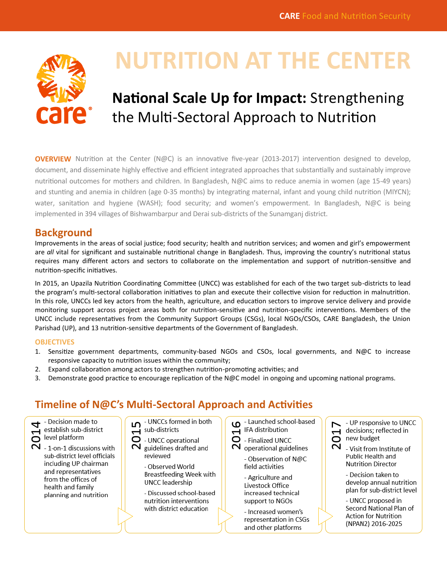

# **NUTRITION AT THE CENTER**

## **National Scale Up for Impact:** Strengthening the Multi-Sectoral Approach to Nutrition

**OVERVIEW** Nutrition at the Center (N@C) is an innovative five-year (2013-2017) intervention designed to develop, document, and disseminate highly effective and efficient integrated approaches that substantially and sustainably improve nutritional outcomes for mothers and children. In Bangladesh, N@C aims to reduce anemia in women (age 15-49 years) and stunting and anemia in children (age 0-35 months) by integrating maternal, infant and young child nutrition (MIYCN); water, sanitation and hygiene (WASH); food security; and women's empowerment. In Bangladesh, N@C is being implemented in 394 villages of Bishwambarpur and Derai sub-districts of the Sunamganj district.

## **Background**

Improvements in the areas of social justice; food security; health and nutrition services; and women and girl's empowerment are *all* vital for significant and sustainable nutritional change in Bangladesh. Thus, improving the country's nutritional status requires many different actors and sectors to collaborate on the implementation and support of nutrition-sensitive and nutrition-specific initiatives.

In 2015, an Upazila Nutrition Coordinating Committee (UNCC) was established for each of the two target sub-districts to lead the program's multi-sectoral collaboration initiatives to plan and execute their collective vision for reduction in malnutrition. In this role, UNCCs led key actors from the health, agriculture, and education sectors to improve service delivery and provide monitoring support across project areas both for nutrition-sensitive and nutrition-specific interventions. Members of the UNCC include representatives from the Community Support Groups (CSGs), local NGOs/CSOs, CARE Bangladesh, the Union Parishad (UP), and 13 nutrition-sensitive departments of the Government of Bangladesh.

#### **OBJECTIVES**

- 1. Sensitize government departments, community-based NGOs and CSOs, local governments, and N@C to increase responsive capacity to nutrition issues within the community;
- 2. Expand collaboration among actors to strengthen nutrition-promoting activities; and
- 3. Demonstrate good practice to encourage replication of the N@C model in ongoing and upcoming national programs.

## **Timeline of N@C's Multi-Sectoral Approach and Activities**

- UNCCs formed in both - Launched school-based - Decision made to - UP responsive to UNCC ഥ ഗ 4  $H$  IFA distribution  $\sum$  sub-districts establish sub-district decisions; reflected in  $201$  $\overline{C}$ level platform new budget - UNCC operational - Finalized UNCC ี  $\sim$ - 1-on-1 discussions with guidelines drafted and operational guidelines - Visit from Institute of sub-district level officials reviewed Public Health and - Observation of N@C including UP chairman **Nutrition Director** - Observed World field activities and representatives **Breastfeeding Week with** - Decision taken to - Agriculture and from the offices of **UNCC** leadership develop annual nutrition Livestock Office health and family plan for sub-district level - Discussed school-based increased technical planning and nutrition nutrition interventions - UNCC proposed in support to NGOs with district education Second National Plan of - Increased women's Action for Nutrition representation in CSGs (NPAN2) 2016-2025

and other platforms